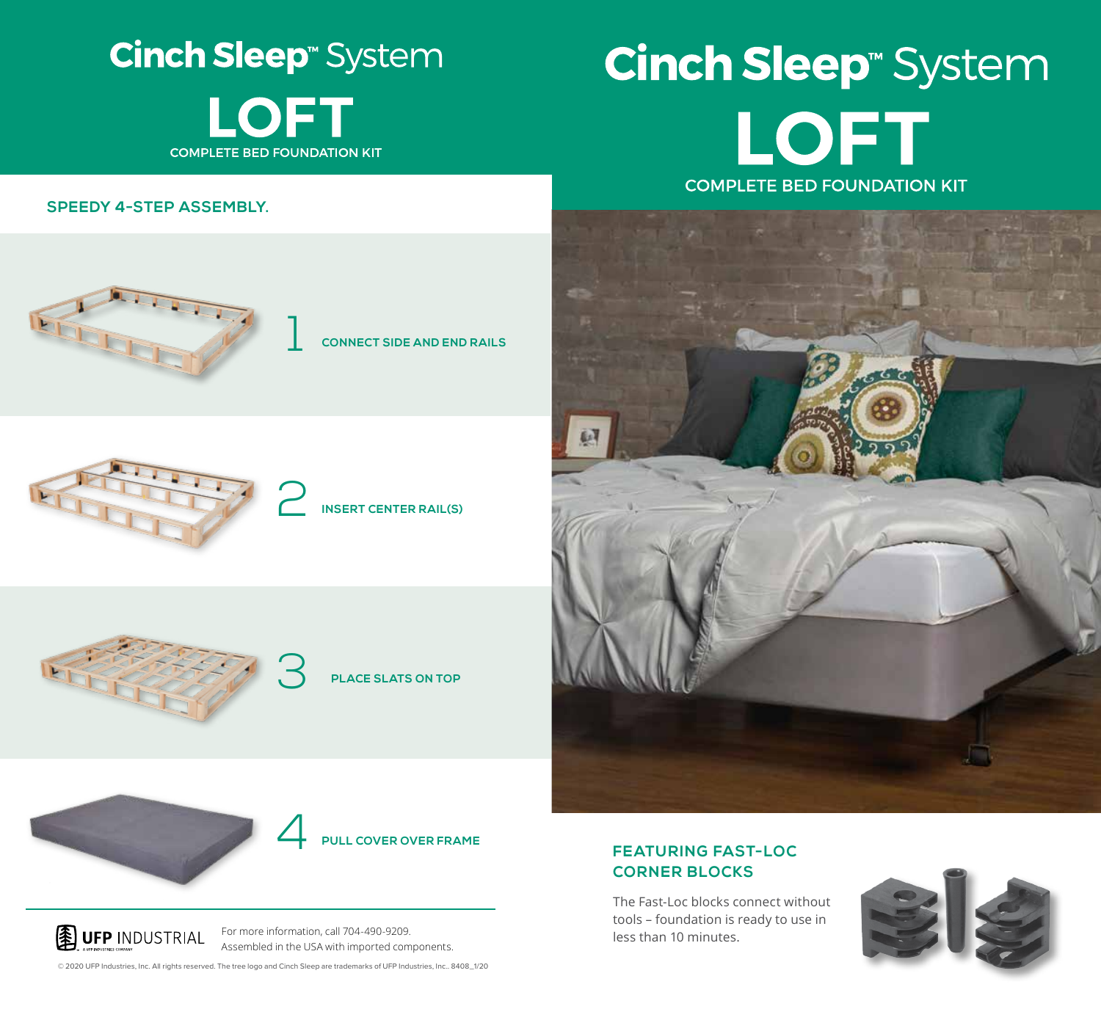**Cinch Sleep**<sup>®</sup> System **LOFT COMPLETE BED FOUNDATION KIT** 

# **Cinch Sleep<sup>®</sup>** System LOFT **COMPLETE BED FOUNDATION KIT**

**SPEEDY 4-STEP ASSEMBLY.**







**INSERT CENTER RAIL(S)**





4 **PULL COVER OVER FRAME**



### **FEATURING FAST-LOC CORNER BLOCKS**

The Fast-Loc blocks connect without tools – foundation is ready to use in less than 10 minutes.



**图 UFP INDUSTRIAL** 

For more information, call 704-490-9209. Assembled in the USA with imported components.

© 2020 UFP Industries, Inc. All rights reserved. The tree logo and Cinch Sleep are trademarks of UFP Industries, Inc.. 8408\_1/20